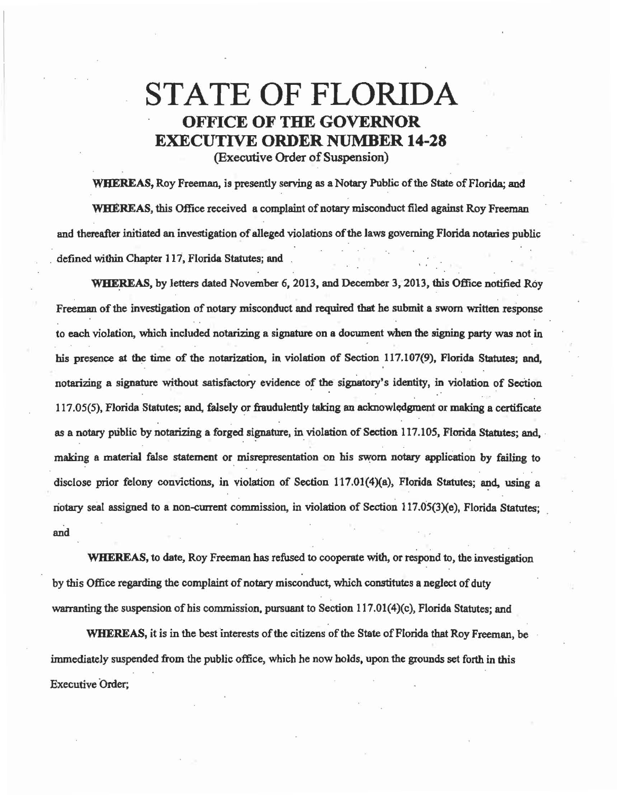## STATE OF FLORIDA OFFICE OF THE GOVERNOR EXECUTIVE ORDER NUMBER 14-28

(Executive Order of Suspension)

WHEREAS, Roy Freeman, is presently serving as a Notary Public of the State of Florida; and WHEREAS, this Office received a complaint of notary misconduct filed against Roy Freeman and thereafter initiated an investigation of alleged violations of the laws governing Florida notaries public defined within Chapter 117, Florida Statutes; and

WHEREAS, by letters dated November 6, 2013, and December 3, 2013, this Office notified Roy . . Freeman of the investigation of notary misconduct and required that he submit a sworn written response to each violation, which included notarizing a signature on a docwnent when the signing party was not in his presence at the time of the notarization, in violation of Section 117.107(9), Florida Statutes; and, notarizing a signature without satisfactory evidence of the signatory's identity, in violation of Section  $117.05(5)$ , Florida Statutes; and, falsely or fraudulently taking an acknowledgment or making a certificate as a notary public by notarizing a forged signature, in violation of Section 117.105, Florida Statutes; and, making a material false statement or misrepresentation on his sworn notary application by failing to disclose prior felony convictions, in violation of Section  $117.01(4)(a)$ , Florida Statutes; and, using a riotary seal assigned to a non-cmrent commission, in violation of Section 117.05(3)(e), Florida Statutes; and

. . WHEREAS, to date, Roy Freeman has refused to cooperate with, or respond to, the investigation by this Office regarding the complaint of notary misconduct, which constitutes a neglect of duty warranting the suspension of his commission, pursuant to Section  $117.01(4)(c)$ , Florida Statutes; and

WHEREAS, it is in the best interests of the citizens of the State of Florida that Roy Freeman, be immediately suspended from the public office, which he now holds, upon the grounds set forth in this Executive Order;